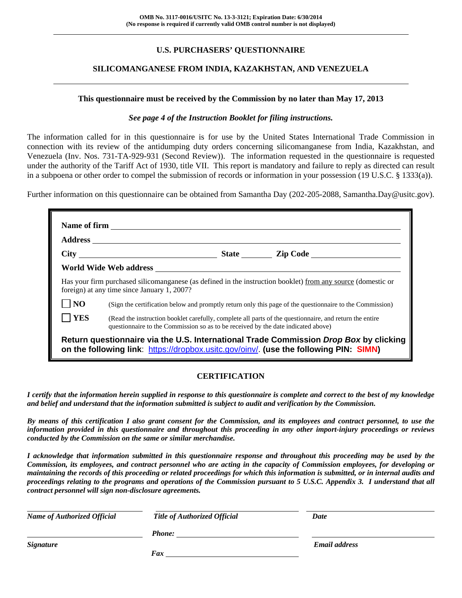# **U.S. PURCHASERS' QUESTIONNAIRE**

## **SILICOMANGANESE FROM INDIA, KAZAKHSTAN, AND VENEZUELA**

#### **This questionnaire must be received by the Commission by no later than May 17, 2013**

#### *See page 4 of the Instruction Booklet for filing instructions.*

The information called for in this questionnaire is for use by the United States International Trade Commission in connection with its review of the antidumping duty orders concerning silicomanganese from India, Kazakhstan, and Venezuela (Inv. Nos. 731-TA-929-931 (Second Review)). The information requested in the questionnaire is requested under the authority of the Tariff Act of 1930, title VII. This report is mandatory and failure to reply as directed can result in a subpoena or other order to compel the submission of records or information in your possession (19 U.S.C. § 1333(a)).

Further information on this questionnaire can be obtained from Samantha Day (202-205-2088, Samantha.Day@usitc.gov).

|                | foreign) at any time since January 1, 2007?                                                                                                                                                  | Has your firm purchased silicomanganese (as defined in the instruction booklet) from any source (domestic or |
|----------------|----------------------------------------------------------------------------------------------------------------------------------------------------------------------------------------------|--------------------------------------------------------------------------------------------------------------|
| $\overline{N}$ |                                                                                                                                                                                              | (Sign the certification below and promptly return only this page of the questionnaire to the Commission)     |
|                |                                                                                                                                                                                              |                                                                                                              |
| <b>YES</b>     | (Read the instruction booklet carefully, complete all parts of the questionnaire, and return the entire<br>questionnaire to the Commission so as to be received by the date indicated above) |                                                                                                              |

## **CERTIFICATION**

*I certify that the information herein supplied in response to this questionnaire is complete and correct to the best of my knowledge and belief and understand that the information submitted is subject to audit and verification by the Commission.* 

*By means of this certification I also grant consent for the Commission, and its employees and contract personnel, to use the information provided in this questionnaire and throughout this proceeding in any other import-injury proceedings or reviews conducted by the Commission on the same or similar merchandise.* 

*I acknowledge that information submitted in this questionnaire response and throughout this proceeding may be used by the Commission, its employees, and contract personnel who are acting in the capacity of Commission employees, for developing or maintaining the records of this proceeding or related proceedings for which this information is submitted, or in internal audits and proceedings relating to the programs and operations of the Commission pursuant to 5 U.S.C. Appendix 3. I understand that all contract personnel will sign non-disclosure agreements.* 

| <b>Name of Authorized Official</b> | <b>Title of Authorized Official</b> | Date                 |
|------------------------------------|-------------------------------------|----------------------|
|                                    | <b>Phone:</b>                       |                      |
| <b>Signature</b>                   |                                     | <b>Email address</b> |
|                                    | Fax                                 |                      |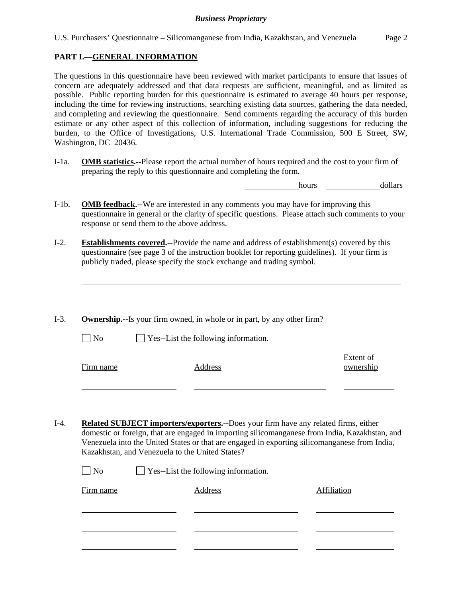## **PART I.—GENERAL INFORMATION**

l

The questions in this questionnaire have been reviewed with market participants to ensure that issues of concern are adequately addressed and that data requests are sufficient, meaningful, and as limited as possible. Public reporting burden for this questionnaire is estimated to average 40 hours per response, including the time for reviewing instructions, searching existing data sources, gathering the data needed, and completing and reviewing the questionnaire. Send comments regarding the accuracy of this burden estimate or any other aspect of this collection of information, including suggestions for reducing the burden, to the Office of Investigations, U.S. International Trade Commission, 500 E Street, SW, Washington, DC 20436.

I-1a. **OMB statistics.--**Please report the actual number of hours required and the cost to your firm of preparing the reply to this questionnaire and completing the form.

hours **dollars** 

- I-1b. **OMB feedback.--**We are interested in any comments you may have for improving this questionnaire in general or the clarity of specific questions. Please attach such comments to your response or send them to the above address.
- I-2. **Establishments covered.--**Provide the name and address of establishment(s) covered by this questionnaire (see page 3 of the instruction booklet for reporting guidelines). If your firm is publicly traded, please specify the stock exchange and trading symbol.
- I-3. **Ownership.--**Is your firm owned, in whole or in part, by any other firm?  $\Box$  No  $\Box$  Yes--List the following information. Firm name Address Extent of ownership l l I-4. **Related SUBJECT importers/exporters.--**Does your firm have any related firms, either domestic or foreign, that are engaged in importing silicomanganese from India, Kazakhstan, and Venezuela into the United States or that are engaged in exporting silicomanganese from India, Kazakhstan, and Venezuela to the United States?  $\Box$  No  $\Box$  Yes--List the following information. Firm name Address Address Address Affiliation l l l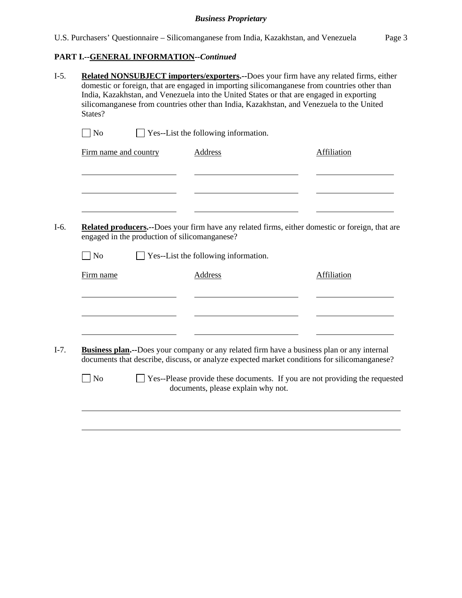# **PART I.--GENERAL INFORMATION***--Continued*

| States?               | Related NONSUBJECT importers/exporters.--Does your firm have any related firms, either<br>domestic or foreign, that are engaged in importing silicomanganese from countries other than<br>India, Kazakhstan, and Venezuela into the United States or that are engaged in exporting<br>silicomanganese from countries other than India, Kazakhstan, and Venezuela to the United |                                               |                                                                                                                                                                                                                                                                                                       |
|-----------------------|--------------------------------------------------------------------------------------------------------------------------------------------------------------------------------------------------------------------------------------------------------------------------------------------------------------------------------------------------------------------------------|-----------------------------------------------|-------------------------------------------------------------------------------------------------------------------------------------------------------------------------------------------------------------------------------------------------------------------------------------------------------|
| $\Box$ No             |                                                                                                                                                                                                                                                                                                                                                                                | Yes--List the following information.          |                                                                                                                                                                                                                                                                                                       |
| Firm name and country |                                                                                                                                                                                                                                                                                                                                                                                | <b>Address</b>                                | Affiliation                                                                                                                                                                                                                                                                                           |
|                       |                                                                                                                                                                                                                                                                                                                                                                                |                                               |                                                                                                                                                                                                                                                                                                       |
|                       |                                                                                                                                                                                                                                                                                                                                                                                |                                               |                                                                                                                                                                                                                                                                                                       |
|                       |                                                                                                                                                                                                                                                                                                                                                                                | engaged in the production of silicomanganese? |                                                                                                                                                                                                                                                                                                       |
| $\n  o$               |                                                                                                                                                                                                                                                                                                                                                                                | Yes--List the following information.          |                                                                                                                                                                                                                                                                                                       |
| Firm name             |                                                                                                                                                                                                                                                                                                                                                                                | Address                                       | Affiliation                                                                                                                                                                                                                                                                                           |
|                       |                                                                                                                                                                                                                                                                                                                                                                                |                                               |                                                                                                                                                                                                                                                                                                       |
|                       |                                                                                                                                                                                                                                                                                                                                                                                |                                               | Related producers.--Does your firm have any related firms, either domestic or foreign, that are<br><b>Business plan.</b> --Does your company or any related firm have a business plan or any internal<br>documents that describe, discuss, or analyze expected market conditions for silicomanganese? |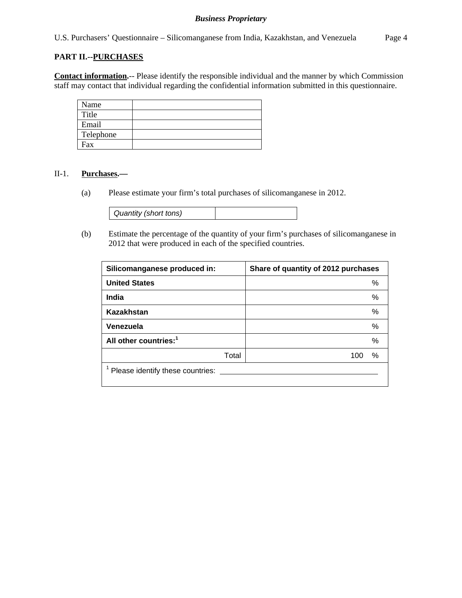U.S. Purchasers' Questionnaire – Silicomanganese from India, Kazakhstan, and Venezuela Page 4

### **PART II.--PURCHASES**

**Contact information.**-- Please identify the responsible individual and the manner by which Commission staff may contact that individual regarding the confidential information submitted in this questionnaire.

| Name      |  |
|-----------|--|
| Title     |  |
| Email     |  |
| Telephone |  |
| Fax       |  |

#### II-1. **Purchases.—**

(a) Please estimate your firm's total purchases of silicomanganese in 2012.

| Quantity (short tons) |  |
|-----------------------|--|
|-----------------------|--|

(b) Estimate the percentage of the quantity of your firm's purchases of silicomanganese in 2012 that were produced in each of the specified countries.

| Silicomanganese produced in:      | Share of quantity of 2012 purchases |
|-----------------------------------|-------------------------------------|
| <b>United States</b>              | %                                   |
| India                             | $\%$                                |
| Kazakhstan                        | $\%$                                |
| Venezuela                         | $\%$                                |
| All other countries: <sup>1</sup> | $\%$                                |
| Total                             | %<br>100                            |
| Please identify these countries:  |                                     |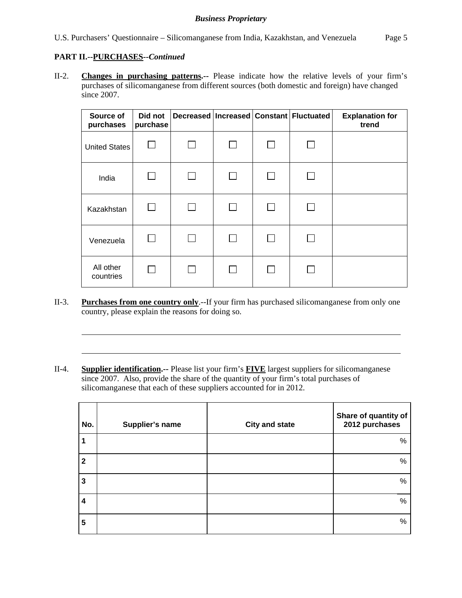## **PART II.--PURCHASES***--Continued*

l

l

II-2. **Changes in purchasing patterns.--** Please indicate how the relative levels of your firm's purchases of silicomanganese from different sources (both domestic and foreign) have changed since 2007.

| Source of<br>purchases | Did not<br>purchase |  | Decreased   Increased   Constant   Fluctuated | <b>Explanation for</b><br>trend |
|------------------------|---------------------|--|-----------------------------------------------|---------------------------------|
| <b>United States</b>   |                     |  |                                               |                                 |
| India                  |                     |  |                                               |                                 |
| Kazakhstan             |                     |  |                                               |                                 |
| Venezuela              |                     |  |                                               |                                 |
| All other<br>countries |                     |  |                                               |                                 |

- II-3. **Purchases from one country only**.--If your firm has purchased silicomanganese from only one country, please explain the reasons for doing so.
- II-4. **Supplier identification.--** Please list your firm's **FIVE** largest suppliers for silicomanganese since 2007. Also, provide the share of the quantity of your firm's total purchases of silicomanganese that each of these suppliers accounted for in 2012.

| No.              | Supplier's name | <b>City and state</b> | Share of quantity of<br>2012 purchases |
|------------------|-----------------|-----------------------|----------------------------------------|
|                  |                 |                       | %                                      |
| $\mathbf{2}$     |                 |                       | $\%$                                   |
| 3                |                 |                       | %                                      |
| $\boldsymbol{4}$ |                 |                       | %                                      |
| 5                |                 |                       | %                                      |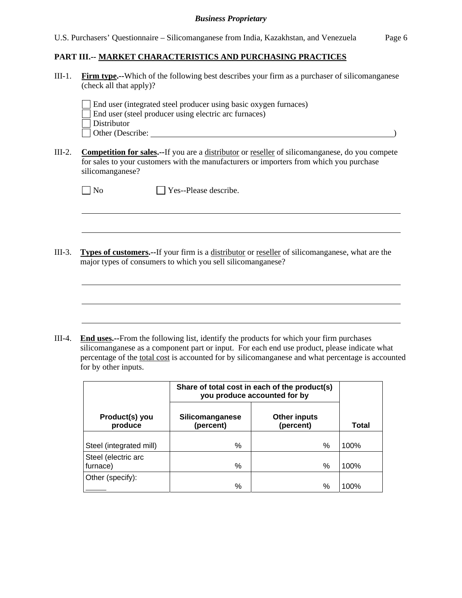## **PART III.-- MARKET CHARACTERISTICS AND PURCHASING PRACTICES**

III-1. **Firm type.--**Which of the following best describes your firm as a purchaser of silicomanganese (check all that apply)?

End user (integrated steel producer using basic oxygen furnaces)

- End user (steel producer using electric arc furnaces)
- Distributor
- Other (Describe: )
- III-2. **Competition for sales.--**If you are a distributor or reseller of silicomanganese, do you compete for sales to your customers with the manufacturers or importers from which you purchase silicomanganese?

| v |
|---|
|---|

 $\overline{a}$ 

 $\overline{a}$ 

No Please describe.

III-3. **Types of customers.--**If your firm is a distributor or reseller of silicomanganese, what are the major types of consumers to which you sell silicomanganese?

III-4. **End uses.--**From the following list, identify the products for which your firm purchases silicomanganese as a component part or input. For each end use product, please indicate what percentage of the total cost is accounted for by silicomanganese and what percentage is accounted for by other inputs.

| Silicomanganese<br>(percent) | <b>Other inputs</b><br>(percent) | Total                                                                                   |  |
|------------------------------|----------------------------------|-----------------------------------------------------------------------------------------|--|
|                              |                                  | 100%                                                                                    |  |
|                              |                                  |                                                                                         |  |
|                              |                                  |                                                                                         |  |
| %                            | %                                | 100%                                                                                    |  |
|                              |                                  | 100%                                                                                    |  |
|                              | %<br>%                           | Share of total cost in each of the product(s)<br>you produce accounted for by<br>%<br>% |  |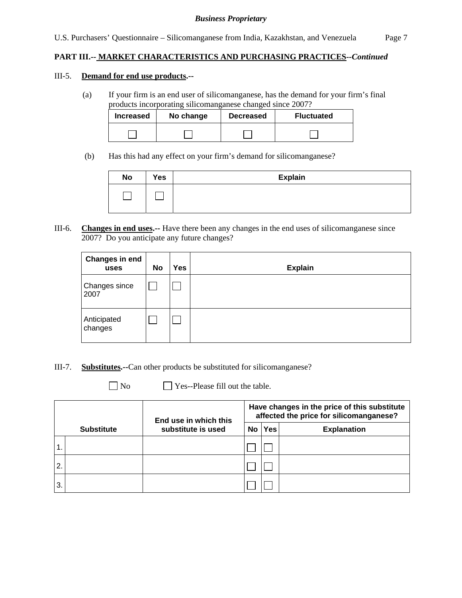## **PART III.-- MARKET CHARACTERISTICS AND PURCHASING PRACTICES***--Continued*

#### III-5. **Demand for end use products.--**

(a) If your firm is an end user of silicomanganese, has the demand for your firm's final products incorporating silicomanganese changed since 2007?

| <b>Increased</b> | No change | <b>Decreased</b> | <b>Fluctuated</b> |  |
|------------------|-----------|------------------|-------------------|--|
|                  |           |                  |                   |  |

(b) Has this had any effect on your firm's demand for silicomanganese?

| <b>No</b> | Yes | <b>Explain</b> |
|-----------|-----|----------------|
|           |     |                |
|           |     |                |

III-6. **Changes in end uses.--** Have there been any changes in the end uses of silicomanganese since 2007? Do you anticipate any future changes?

| <b>Changes in end</b><br>uses | <b>No</b> | Yes | <b>Explain</b> |
|-------------------------------|-----------|-----|----------------|
| Changes since<br>2007         |           |     |                |
| Anticipated<br>changes        |           |     |                |

- III-7. **Substitutes.--**Can other products be substituted for silicomanganese?
	-

 $\Box$  No  $\Box$  Yes--Please fill out the table.

|    |                   | End use in which this<br>substitute is used | Have changes in the price of this substitute<br>affected the price for silicomanganese? |            |                    |  |
|----|-------------------|---------------------------------------------|-----------------------------------------------------------------------------------------|------------|--------------------|--|
|    | <b>Substitute</b> |                                             | No.                                                                                     | <b>Yes</b> | <b>Explanation</b> |  |
|    |                   |                                             |                                                                                         |            |                    |  |
| 2. |                   |                                             |                                                                                         |            |                    |  |
| 3. |                   |                                             |                                                                                         |            |                    |  |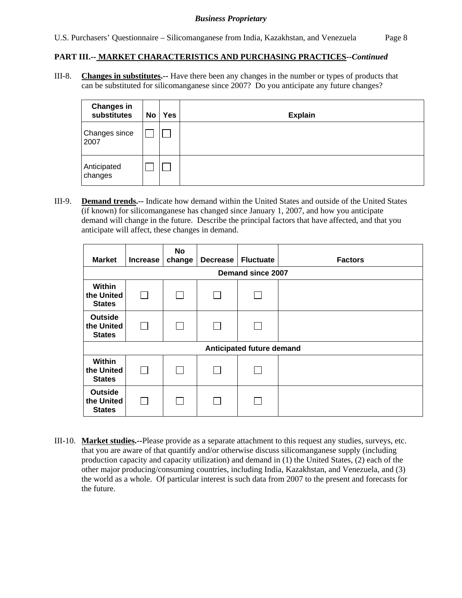## **PART III.-- MARKET CHARACTERISTICS AND PURCHASING PRACTICES***--Continued*

III-8. **Changes in substitutes.--** Have there been any changes in the number or types of products that can be substituted for silicomanganese since 2007? Do you anticipate any future changes?

| <b>Changes in</b><br>substitutes | No | <b>Yes</b> | <b>Explain</b> |
|----------------------------------|----|------------|----------------|
| Changes since<br>2007            |    |            |                |
| Anticipated<br>changes           |    |            |                |

III-9. **Demand trends.--** Indicate how demand within the United States and outside of the United States (if known) for silicomanganese has changed since January 1, 2007, and how you anticipate demand will change in the future. Describe the principal factors that have affected, and that you anticipate will affect, these changes in demand.

| <b>Market</b>                                 | <b>Increase</b> | No<br>change | <b>Decrease</b> | <b>Fluctuate</b>          | <b>Factors</b> |  |  |  |  |
|-----------------------------------------------|-----------------|--------------|-----------------|---------------------------|----------------|--|--|--|--|
| Demand since 2007                             |                 |              |                 |                           |                |  |  |  |  |
| Within<br>the United<br><b>States</b>         |                 |              |                 |                           |                |  |  |  |  |
| <b>Outside</b><br>the United<br><b>States</b> | $\mathsf{I}$    |              |                 |                           |                |  |  |  |  |
|                                               |                 |              |                 | Anticipated future demand |                |  |  |  |  |
| Within<br>the United<br><b>States</b>         | $\mathbf{I}$    |              |                 |                           |                |  |  |  |  |
| <b>Outside</b><br>the United<br><b>States</b> |                 |              |                 |                           |                |  |  |  |  |

III-10. **Market studies.--**Please provide as a separate attachment to this request any studies, surveys, etc. that you are aware of that quantify and/or otherwise discuss silicomanganese supply (including production capacity and capacity utilization) and demand in (1) the United States, (2) each of the other major producing/consuming countries, including India, Kazakhstan, and Venezuela, and (3) the world as a whole. Of particular interest is such data from 2007 to the present and forecasts for the future.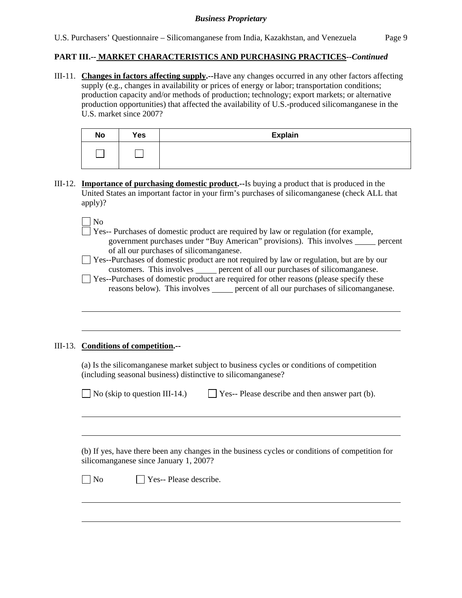## **PART III.-- MARKET CHARACTERISTICS AND PURCHASING PRACTICES***--Continued*

III-11. **Changes in factors affecting supply.--**Have any changes occurred in any other factors affecting supply (e.g., changes in availability or prices of energy or labor; transportation conditions; production capacity and/or methods of production; technology; export markets; or alternative production opportunities) that affected the availability of U.S.-produced silicomanganese in the U.S. market since 2007?

| <b>No</b> | Yes | <b>Explain</b> |
|-----------|-----|----------------|
|           |     |                |

III-12. **Importance of purchasing domestic product.--**Is buying a product that is produced in the United States an important factor in your firm's purchases of silicomanganese (check ALL that apply)?

| __ | - |
|----|---|
|    |   |

l

l

 $\overline{a}$ 

- Yes-- Purchases of domestic product are required by law or regulation (for example, government purchases under "Buy American" provisions). This involves <u>percent</u> of all our purchases of silicomanganese.
- Yes--Purchases of domestic product are not required by law or regulation, but are by our customers. This involves <u>percent</u> of all our purchases of silicomanganese.
- Yes--Purchases of domestic product are required for other reasons (please specify these reasons below). This involves percent of all our purchases of silicomanganese.

## III-13. **Conditions of competition.--**

(a) Is the silicomanganese market subject to business cycles or conditions of competition (including seasonal business) distinctive to silicomanganese?

| $\Box$ No (skip to question III-14.) | $\Box$ Yes-- Please describe and then answer part (b). |
|--------------------------------------|--------------------------------------------------------|
|--------------------------------------|--------------------------------------------------------|

 (b) If yes, have there been any changes in the business cycles or conditions of competition for silicomanganese since January 1, 2007?

 $\neg$  No  $\neg$  Yes-- Please describe.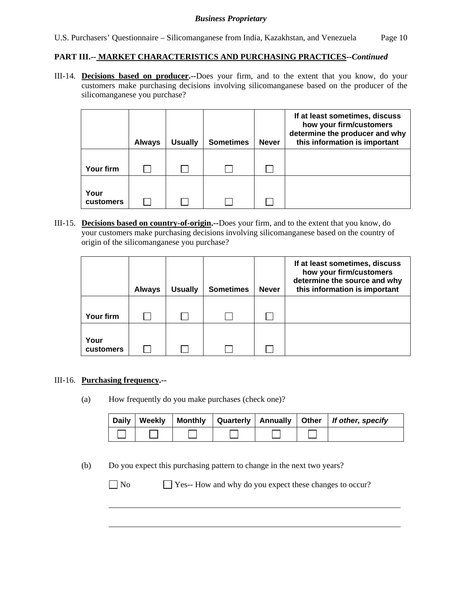## **PART III.-- MARKET CHARACTERISTICS AND PURCHASING PRACTICES***--Continued*

III-14. **Decisions based on producer.--**Does your firm, and to the extent that you know, do your customers make purchasing decisions involving silicomanganese based on the producer of the silicomanganese you purchase?

|                   | <b>Always</b> | <b>Usually</b> | <b>Sometimes</b> | <b>Never</b> | If at least sometimes, discuss<br>how your firm/customers<br>determine the producer and why<br>this information is important |
|-------------------|---------------|----------------|------------------|--------------|------------------------------------------------------------------------------------------------------------------------------|
| Your firm         |               |                |                  |              |                                                                                                                              |
| Your<br>customers |               |                |                  |              |                                                                                                                              |

III-15. **Decisions based on country-of-origin.--**Does your firm, and to the extent that you know, do your customers make purchasing decisions involving silicomanganese based on the country of origin of the silicomanganese you purchase?

|                   | <b>Always</b> | <b>Usually</b> | <b>Sometimes</b> | <b>Never</b> | If at least sometimes, discuss<br>how your firm/customers<br>determine the source and why<br>this information is important |
|-------------------|---------------|----------------|------------------|--------------|----------------------------------------------------------------------------------------------------------------------------|
| Your firm         |               |                |                  |              |                                                                                                                            |
| Your<br>customers |               |                |                  |              |                                                                                                                            |

## III-16. **Purchasing frequency.--**

(a) How frequently do you make purchases (check one)?

| <b>Daily</b> | <b>Weekly</b> | Monthly |  | Quarterly   Annually   Other   If other, specify |
|--------------|---------------|---------|--|--------------------------------------------------|
|              |               |         |  |                                                  |

(b) Do you expect this purchasing pattern to change in the next two years?

 $\overline{a}$ 

No Ses-- How and why do you expect these changes to occur?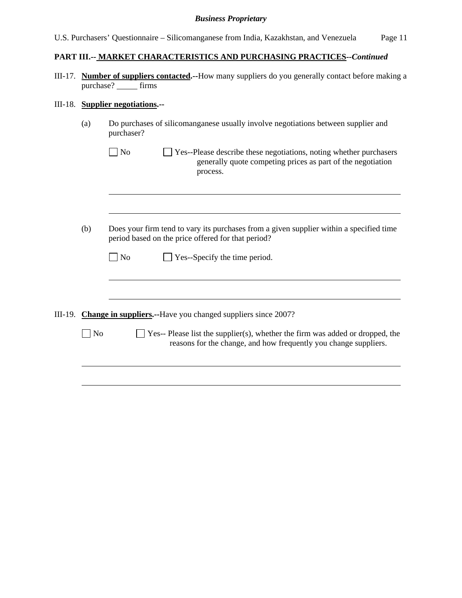|  | U.S. Purchasers' Questionnaire – Silicomanganese from India, Kazakhstan, and Venezuela |  | Page 11 |
|--|----------------------------------------------------------------------------------------|--|---------|

# **PART III.-- MARKET CHARACTERISTICS AND PURCHASING PRACTICES***--Continued*

III-17. **Number of suppliers contacted.--**How many suppliers do you generally contact before making a purchase? firms

# III-18. **Supplier negotiations.--**

| (a)            | Do purchases of silicomanganese usually involve negotiations between supplier and<br>purchaser?                                                                 |
|----------------|-----------------------------------------------------------------------------------------------------------------------------------------------------------------|
|                | N <sub>0</sub><br>Yes--Please describe these negotiations, noting whether purchasers<br>generally quote competing prices as part of the negotiation<br>process. |
|                |                                                                                                                                                                 |
| (b)            | Does your firm tend to vary its purchases from a given supplier within a specified time<br>period based on the price offered for that period?                   |
|                | $\Box$ Yes--Specify the time period.<br>$\blacksquare$ No                                                                                                       |
|                |                                                                                                                                                                 |
|                | III-19. Change in suppliers.--Have you changed suppliers since 2007?                                                                                            |
| N <sub>0</sub> | $\Box$ Yes-- Please list the supplier(s), whether the firm was added or dropped, the<br>reasons for the change, and how frequently you change suppliers.        |
|                |                                                                                                                                                                 |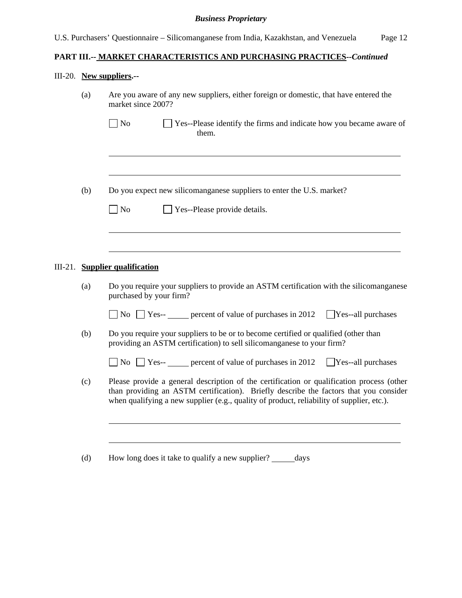# **PART III.-- MARKET CHARACTERISTICS AND PURCHASING PRACTICES***--Continued*

# III-20. **New suppliers.--**

|  | (a)                                       | Are you aware of any new suppliers, either foreign or domestic, that have entered the<br>market since 2007?                                                                                                                                                                     |
|--|-------------------------------------------|---------------------------------------------------------------------------------------------------------------------------------------------------------------------------------------------------------------------------------------------------------------------------------|
|  |                                           | $\Box$ No<br>$\Box$ Yes--Please identify the firms and indicate how you became aware of<br>them.                                                                                                                                                                                |
|  |                                           |                                                                                                                                                                                                                                                                                 |
|  | (b)                                       | Do you expect new silicomanganese suppliers to enter the U.S. market?                                                                                                                                                                                                           |
|  | $\Box$ No<br>Yes--Please provide details. |                                                                                                                                                                                                                                                                                 |
|  |                                           |                                                                                                                                                                                                                                                                                 |
|  |                                           | III-21. Supplier qualification                                                                                                                                                                                                                                                  |
|  | (a)                                       | Do you require your suppliers to provide an ASTM certification with the silicomanganese<br>purchased by your firm?                                                                                                                                                              |
|  |                                           | $\Box$ No $\Box$ Yes-- <u>expect</u> of value of purchases in 2012<br>$Yes$ -all purchases                                                                                                                                                                                      |
|  | (b)                                       | Do you require your suppliers to be or to become certified or qualified (other than<br>providing an ASTM certification) to sell silicomanganese to your firm?                                                                                                                   |
|  |                                           | $\Box$ No $\Box$ Yes-- <u>____</u> percent of value of purchases in 2012<br>$Yes$ --all purchases                                                                                                                                                                               |
|  | (c)                                       | Please provide a general description of the certification or qualification process (other<br>than providing an ASTM certification). Briefly describe the factors that you consider<br>when qualifying a new supplier (e.g., quality of product, reliability of supplier, etc.). |
|  |                                           |                                                                                                                                                                                                                                                                                 |
|  | (d)                                       | How long does it take to qualify a new supplier? ______ days                                                                                                                                                                                                                    |
|  |                                           |                                                                                                                                                                                                                                                                                 |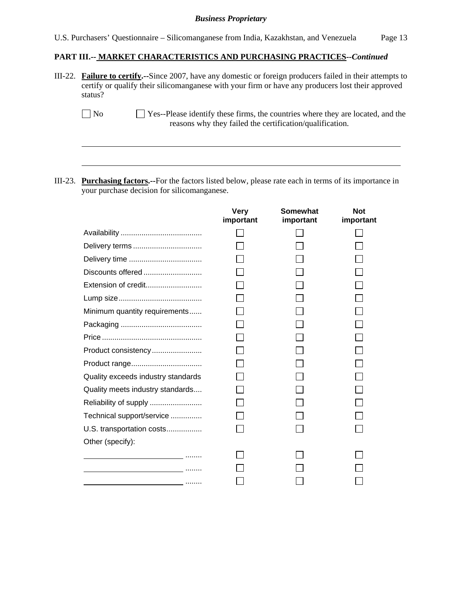U.S. Purchasers' Questionnaire – Silicomanganese from India, Kazakhstan, and Venezuela Page 13

#### **PART III.-- MARKET CHARACTERISTICS AND PURCHASING PRACTICES***--Continued*

III-22. **Failure to certify.--**Since 2007, have any domestic or foreign producers failed in their attempts to certify or qualify their silicomanganese with your firm or have any producers lost their approved status?

III-23. **Purchasing factors.--**For the factors listed below, please rate each in terms of its importance in your purchase decision for silicomanganese.

l

|                                               | <b>Very</b><br>important | <b>Somewhat</b><br>important | <b>Not</b><br>important |
|-----------------------------------------------|--------------------------|------------------------------|-------------------------|
|                                               |                          |                              |                         |
| Delivery terms                                |                          |                              |                         |
|                                               |                          |                              |                         |
| Discounts offered                             |                          |                              |                         |
| Extension of credit                           |                          |                              |                         |
|                                               |                          |                              |                         |
| Minimum quantity requirements                 |                          |                              |                         |
|                                               |                          |                              |                         |
|                                               |                          |                              |                         |
| Product consistency                           |                          |                              |                         |
|                                               |                          |                              |                         |
| Quality exceeds industry standards            |                          |                              |                         |
| Quality meets industry standards              |                          |                              |                         |
|                                               |                          |                              |                         |
| Technical support/service                     |                          |                              |                         |
| U.S. transportation costs                     |                          |                              |                         |
| Other (specify):                              |                          |                              |                         |
| and the company of the company of the company |                          |                              |                         |
|                                               |                          |                              |                         |
|                                               |                          |                              |                         |

No Yes--Please identify these firms, the countries where they are located, and the reasons why they failed the certification/qualification.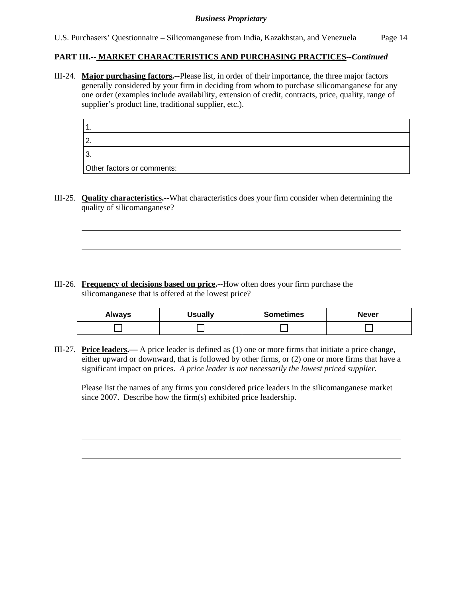## **PART III.-- MARKET CHARACTERISTICS AND PURCHASING PRACTICES***--Continued*

III-24. **Major purchasing factors.--**Please list, in order of their importance, the three major factors generally considered by your firm in deciding from whom to purchase silicomanganese for any one order (examples include availability, extension of credit, contracts, price, quality, range of supplier's product line, traditional supplier, etc.).

| -           |                            |
|-------------|----------------------------|
| $^{\circ}2$ |                            |
| 3           |                            |
|             | Other factors or comments: |

III-25. **Quality characteristics.--**What characteristics does your firm consider when determining the quality of silicomanganese?

III-26. **Frequency of decisions based on price.--**How often does your firm purchase the silicomanganese that is offered at the lowest price?

l

l

| <b>Always</b> | <b>Usually</b> | <b>Sometimes</b> | <b>Never</b> |
|---------------|----------------|------------------|--------------|
|               |                |                  |              |

III-27. **Price leaders.—** A price leader is defined as (1) one or more firms that initiate a price change, either upward or downward, that is followed by other firms, or (2) one or more firms that have a significant impact on prices. *A price leader is not necessarily the lowest priced supplier.* 

Please list the names of any firms you considered price leaders in the silicomanganese market since 2007. Describe how the firm(s) exhibited price leadership.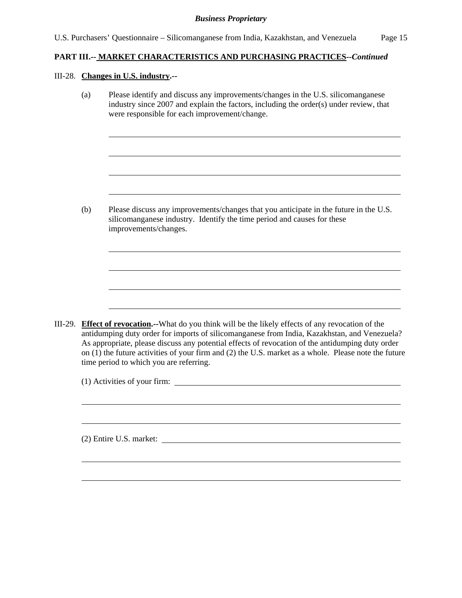## **PART III.-- MARKET CHARACTERISTICS AND PURCHASING PRACTICES***--Continued*

#### III-28. **Changes in U.S. industry.--**

l

l

(a) Please identify and discuss any improvements/changes in the U.S. silicomanganese industry since 2007 and explain the factors, including the order(s) under review, that were responsible for each improvement/change.

(b) Please discuss any improvements/changes that you anticipate in the future in the U.S. silicomanganese industry. Identify the time period and causes for these improvements/changes.

III-29. **Effect of revocation.--**What do you think will be the likely effects of any revocation of the antidumping duty order for imports of silicomanganese from India, Kazakhstan, and Venezuela? As appropriate, please discuss any potential effects of revocation of the antidumping duty order on (1) the future activities of your firm and (2) the U.S. market as a whole. Please note the future time period to which you are referring.

(1) Activities of your firm:

(2) Entire U.S. market: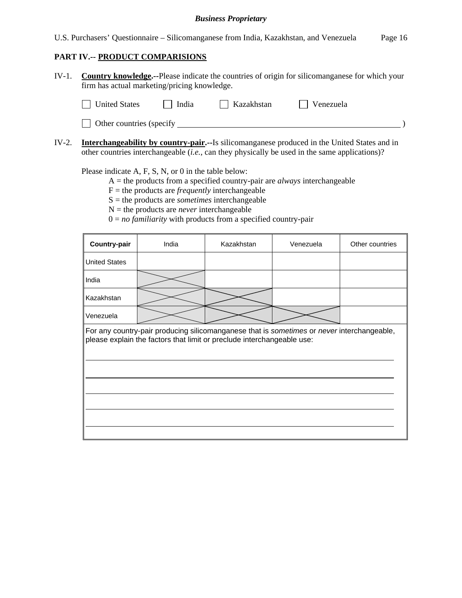U.S. Purchasers' Questionnaire – Silicomanganese from India, Kazakhstan, and Venezuela Page 16

## **PART IV.-- PRODUCT COMPARISIONS**

IV-1. **Country knowledge.--**Please indicate the countries of origin for silicomanganese for which your firm has actual marketing/pricing knowledge.

| United States<br>  India |  | Kazakhstan | Venezuela |  |
|--------------------------|--|------------|-----------|--|
| Other countries (specify |  |            |           |  |

IV-2. **Interchangeability by country-pair.--**Is silicomanganese produced in the United States and in other countries interchangeable (*i.e.*, can they physically be used in the same applications)?

Please indicate A, F, S, N, or 0 in the table below:

- A = the products from a specified country-pair are *always* interchangeable
- $F =$  the products are *frequently* interchangeable
- S = the products are *sometimes* interchangeable
- $N =$  the products are *never* interchangeable
- $0 = no$  *familiarity* with products from a specified country-pair

| Country-pair                                                                                                                                                         | India | Kazakhstan | Venezuela<br>Other countries |  |  |  |  |  |  |
|----------------------------------------------------------------------------------------------------------------------------------------------------------------------|-------|------------|------------------------------|--|--|--|--|--|--|
| <b>United States</b>                                                                                                                                                 |       |            |                              |  |  |  |  |  |  |
| India                                                                                                                                                                |       |            |                              |  |  |  |  |  |  |
| Kazakhstan                                                                                                                                                           |       |            |                              |  |  |  |  |  |  |
| Venezuela                                                                                                                                                            |       |            |                              |  |  |  |  |  |  |
| For any country-pair producing silicomanganese that is sometimes or never interchangeable,<br>please explain the factors that limit or preclude interchangeable use: |       |            |                              |  |  |  |  |  |  |
|                                                                                                                                                                      |       |            |                              |  |  |  |  |  |  |
|                                                                                                                                                                      |       |            |                              |  |  |  |  |  |  |
|                                                                                                                                                                      |       |            |                              |  |  |  |  |  |  |
|                                                                                                                                                                      |       |            |                              |  |  |  |  |  |  |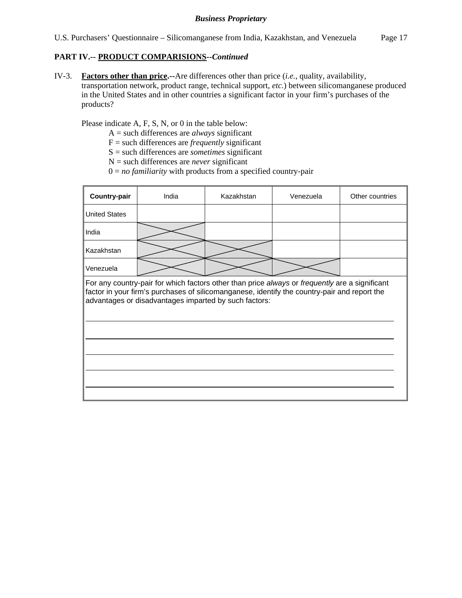## **PART IV.-- PRODUCT COMPARISIONS***--Continued*

IV-3. **Factors other than price.--**Are differences other than price (*i.e.*, quality, availability, transportation network, product range, technical support, *etc.*) between silicomanganese produced in the United States and in other countries a significant factor in your firm's purchases of the products?

Please indicate A, F, S, N, or 0 in the table below:

- A = such differences are *always* significant
- F = such differences are *frequently* significant
- S = such differences are *sometimes* significant
- N = such differences are *never* significant
- $0 = no$  *familiarity* with products from a specified country-pair

| Country-pair                                                                                                                                                                                                                                            | India | Kazakhstan | Venezuela | Other countries |  |  |  |  |  |
|---------------------------------------------------------------------------------------------------------------------------------------------------------------------------------------------------------------------------------------------------------|-------|------------|-----------|-----------------|--|--|--|--|--|
| <b>United States</b>                                                                                                                                                                                                                                    |       |            |           |                 |  |  |  |  |  |
| India                                                                                                                                                                                                                                                   |       |            |           |                 |  |  |  |  |  |
| Kazakhstan                                                                                                                                                                                                                                              |       |            |           |                 |  |  |  |  |  |
| Venezuela                                                                                                                                                                                                                                               |       |            |           |                 |  |  |  |  |  |
| For any country-pair for which factors other than price always or frequently are a significant<br>factor in your firm's purchases of silicomanganese, identify the country-pair and report the<br>advantages or disadvantages imparted by such factors: |       |            |           |                 |  |  |  |  |  |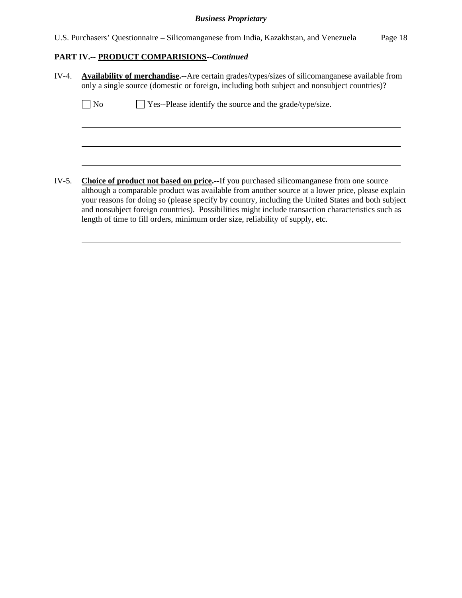U.S. Purchasers' Questionnaire – Silicomanganese from India, Kazakhstan, and Venezuela Page 18

# **PART IV.-- PRODUCT COMPARISIONS***--Continued*

| $IV-4.$ | <b>Availability of merchandise.</b> --Are certain grades/types/sizes of silicomanganese available from<br>only a single source (domestic or foreign, including both subject and nonsubject countries)?                                                                                                                                                                                                                                                                                           |
|---------|--------------------------------------------------------------------------------------------------------------------------------------------------------------------------------------------------------------------------------------------------------------------------------------------------------------------------------------------------------------------------------------------------------------------------------------------------------------------------------------------------|
|         | Yes--Please identify the source and the grade/type/size.<br>No                                                                                                                                                                                                                                                                                                                                                                                                                                   |
|         |                                                                                                                                                                                                                                                                                                                                                                                                                                                                                                  |
|         |                                                                                                                                                                                                                                                                                                                                                                                                                                                                                                  |
| IV-5.   | <b>Choice of product not based on price.--If you purchased silicomanganese from one source</b><br>although a comparable product was available from another source at a lower price, please explain<br>your reasons for doing so (please specify by country, including the United States and both subject<br>and nonsubject foreign countries). Possibilities might include transaction characteristics such as<br>length of time to fill orders, minimum order size, reliability of supply, etc. |
|         |                                                                                                                                                                                                                                                                                                                                                                                                                                                                                                  |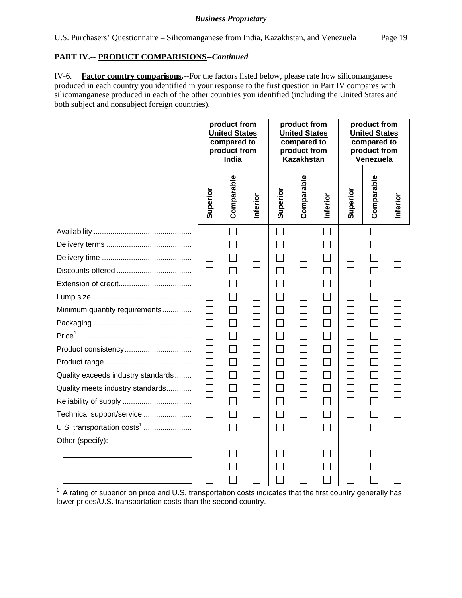## **PART IV.-- PRODUCT COMPARISIONS***--Continued*

IV-6. **Factor country comparisons.--**For the factors listed below, please rate how silicomanganese produced in each country you identified in your response to the first question in Part IV compares with silicomanganese produced in each of the other countries you identified (including the United States and both subject and nonsubject foreign countries).

|                                        |          | product from<br><b>United States</b><br>compared to<br>product from<br>India |              |          | product from<br><b>United States</b><br>compared to<br>product from<br><b>Kazakhstan</b> |          |                             | product from<br><b>United States</b><br>compared to<br>product from<br>Venezuela |          |
|----------------------------------------|----------|------------------------------------------------------------------------------|--------------|----------|------------------------------------------------------------------------------------------|----------|-----------------------------|----------------------------------------------------------------------------------|----------|
|                                        | Superior | Comparable                                                                   | Inferior     | Superior | Comparable                                                                               | Inferior | Superior                    | Comparable                                                                       | Inferior |
|                                        | $\Box$   | $\Box$                                                                       | $\Box$       |          | П                                                                                        |          | $\Box$                      | $\Box$                                                                           | $\Box$   |
|                                        |          |                                                                              |              |          |                                                                                          | $\Box$   |                             |                                                                                  |          |
|                                        | $\Box$   | П                                                                            | $\mathbf{I}$ | $\Box$   |                                                                                          | $\Box$   | $\sim$                      | П                                                                                |          |
|                                        |          | П                                                                            |              | $\Box$   |                                                                                          | П        | Ξ                           | $\Box$                                                                           |          |
|                                        |          | $\Box$                                                                       |              | $\Box$   |                                                                                          | $\Box$   |                             | $\Box$                                                                           |          |
|                                        | $\Box$   | П                                                                            |              | П        |                                                                                          | $\Box$   | $\sim$                      | П                                                                                |          |
| Minimum quantity requirements          | П        | $\Box$                                                                       |              | $\Box$   | $\Box$                                                                                   | $\Box$   | Ξ                           | $\Box$                                                                           |          |
|                                        | $\Box$   | $\Box$                                                                       |              | $\Box$   |                                                                                          | $\Box$   | $\mathcal{L}_{\mathcal{A}}$ | $\Box$                                                                           |          |
|                                        | $\Box$   | $\Box$                                                                       |              | П        |                                                                                          | $\Box$   |                             | П                                                                                |          |
| Product consistency                    |          | П                                                                            |              | $\Box$   |                                                                                          | П        |                             | П                                                                                |          |
|                                        | $\Box$   | $\Box$                                                                       | $\Box$       | $\Box$   | $\mathsf{L}$                                                                             | $\Box$   | $\mathbb{R}^2$              | $\Box$                                                                           |          |
| Quality exceeds industry standards     |          |                                                                              |              | П        |                                                                                          | $\Box$   |                             | $\mathsf{L}$                                                                     |          |
| Quality meets industry standards       | $\Box$   | $\Box$                                                                       | $\Box$       | $\Box$   | П                                                                                        | $\Box$   | $\mathcal{L}_{\mathcal{A}}$ | $\Box$                                                                           |          |
|                                        | $\Box$   | $\Box$                                                                       | $\Box$       | П        |                                                                                          | $\Box$   | $\mathcal{L}^{\text{max}}$  | $\Box$                                                                           |          |
| Technical support/service              | П        | $\Box$                                                                       |              | $\Box$   |                                                                                          | $\Box$   |                             | $\Box$                                                                           |          |
| U.S. transportation costs <sup>1</sup> | $\Box$   | $\Box$                                                                       | $\mathbf{I}$ | П        | $\overline{\phantom{a}}$                                                                 | П        | $\mathbb{R}^2$              | П                                                                                |          |
| Other (specify):                       |          |                                                                              |              |          |                                                                                          |          |                             |                                                                                  |          |
|                                        |          |                                                                              |              |          |                                                                                          |          |                             |                                                                                  |          |
|                                        |          | $\Box$                                                                       | $\Box$       |          |                                                                                          | П        | $\sim$                      | $\mathcal{L}_{\mathcal{A}}$                                                      |          |
|                                        |          |                                                                              |              |          |                                                                                          |          |                             |                                                                                  |          |

<sup>1</sup> A rating of superior on price and U.S. transportation costs indicates that the first country generally has lower prices/U.S. transportation costs than the second country.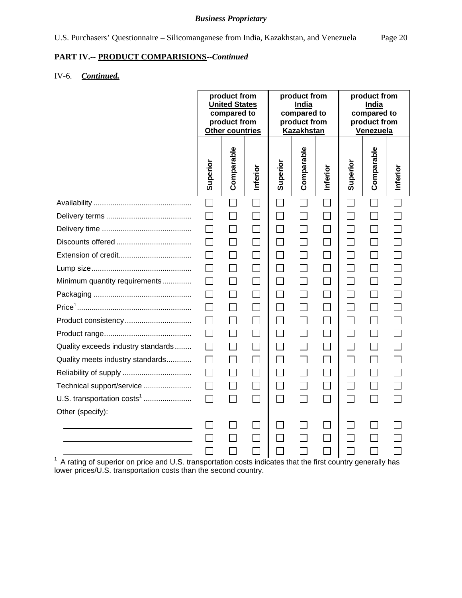# **PART IV.-- PRODUCT COMPARISIONS***--Continued*

# IV-6. *Continued.*

|                                    |          | product from<br><b>United States</b><br>compared to<br>product from<br><b>Other countries</b> |                             |          | product from<br><b>India</b><br>compared to<br>product from<br><b>Kazakhstan</b> |              |              | product from<br><b>India</b><br>compared to<br>product from<br>Venezuela |              |
|------------------------------------|----------|-----------------------------------------------------------------------------------------------|-----------------------------|----------|----------------------------------------------------------------------------------|--------------|--------------|--------------------------------------------------------------------------|--------------|
|                                    | Superior | Comparable                                                                                    | Inferior                    | Superior | Comparable                                                                       | Inferior     | Superior     | Comparable                                                               | Inferior     |
|                                    | $\Box$   | $\Box$                                                                                        | $\Box$                      | $\Box$   | $\Box$                                                                           | $\Box$       | $\mathsf{L}$ | $\mathsf{L}$                                                             | $\mathsf{L}$ |
|                                    |          |                                                                                               |                             |          |                                                                                  |              |              |                                                                          |              |
|                                    | $\Box$   | $\Box$                                                                                        | $\Box$                      | $\Box$   |                                                                                  | $\Box$       | $\Box$       | $\Box$                                                                   |              |
|                                    | $\Box$   | $\Box$                                                                                        | $\Box$                      | $\Box$   | $\Box$                                                                           | $\Box$       | $\mathbf{I}$ | $\Box$                                                                   |              |
|                                    |          |                                                                                               |                             |          |                                                                                  |              |              |                                                                          |              |
|                                    | $\Box$   | $\Box$                                                                                        | $\Box$                      | $\Box$   | $\Box$                                                                           | $\Box$       | $\Box$       | $\Box$                                                                   |              |
| Minimum quantity requirements      | $\Box$   | П                                                                                             | $\mathcal{L}_{\mathcal{A}}$ | П        | П                                                                                | $\Box$       | $\Box$       | П                                                                        |              |
|                                    |          |                                                                                               |                             | П        |                                                                                  |              |              |                                                                          |              |
|                                    | $\Box$   | $\Box$                                                                                        | $\Box$                      | $\Box$   | П                                                                                | $\Box$       | П            | $\Box$                                                                   |              |
| Product consistency                | П        | $\Box$                                                                                        | $\Box$                      | $\Box$   | $\Box$                                                                           | $\Box$       | П            | $\Box$                                                                   |              |
|                                    | $\Box$   | $\Box$                                                                                        |                             | $\Box$   | $\Box$                                                                           | П            |              |                                                                          |              |
| Quality exceeds industry standards | $\Box$   | $\Box$                                                                                        | $\Box$                      | $\Box$   | $\Box$                                                                           | $\Box$       | $\Box$       | $\Box$                                                                   |              |
| Quality meets industry standards   | $\Box$   | $\perp$                                                                                       | $\mathbf{1}$                | $\Box$   | $\Box$                                                                           | $\mathsf{L}$ | $\mathsf{L}$ | $\perp$                                                                  |              |
|                                    | $\Box$   | $\Box$                                                                                        |                             | П        |                                                                                  | $\Box$       |              |                                                                          |              |
| Technical support/service          | $\Box$   | $\Box$                                                                                        | $\Box$                      | $\Box$   | $\Box$                                                                           | $\Box$       | $\Box$       | $\Box$                                                                   |              |
| U.S. transportation $costs1$       | $\Box$   | П                                                                                             | П                           | $\Box$   | П                                                                                | $\mathsf{I}$ | $\Box$       | $\mathsf{L}$                                                             |              |
| Other (specify):                   |          |                                                                                               |                             |          |                                                                                  |              |              |                                                                          |              |
|                                    |          |                                                                                               |                             |          |                                                                                  |              |              |                                                                          |              |
|                                    |          |                                                                                               |                             |          |                                                                                  |              |              |                                                                          |              |
|                                    |          |                                                                                               |                             |          |                                                                                  |              |              |                                                                          |              |

 $\begin{array}{c} \begin{array}{c} \begin{array}{ccc} \end{array} & \begin{array}{ccc} \end{array} & \begin{array}{ccc} \end{array} & \begin{array}{ccc} \end{array} & \begin{array}{ccc} \end{array} & \begin{array}{ccc} \end{array} & \begin{array}{ccc} \end{array} & \begin{array}{ccc} \end{array} & \begin{array}{ccc} \end{array} & \begin{array}{ccc} \end{array} & \begin{array}{ccc} \end{array} & \end{array} \end{array}$  A rating of superior on price and U.S. transportati lower prices/U.S. transportation costs than the second country.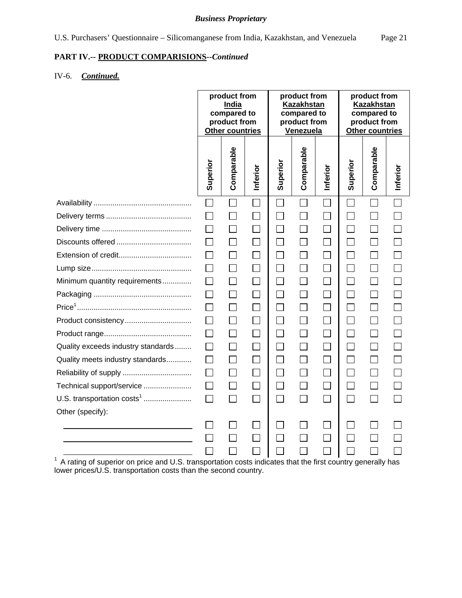# **PART IV.-- PRODUCT COMPARISIONS***--Continued*

# IV-6. *Continued.*

|                                                                                                                |                   | product from<br><b>India</b><br>compared to<br>product from<br><b>Other countries</b> |              |                             | product from<br><b>Kazakhstan</b><br>compared to<br>product from<br>Venezuela |                | product from<br><b>Kazakhstan</b><br>compared to<br>product from<br><b>Other countries</b> |              |          |
|----------------------------------------------------------------------------------------------------------------|-------------------|---------------------------------------------------------------------------------------|--------------|-----------------------------|-------------------------------------------------------------------------------|----------------|--------------------------------------------------------------------------------------------|--------------|----------|
|                                                                                                                | Superior          | Comparable                                                                            | Inferior     | Superior                    | Comparable                                                                    | Inferior       | Superior                                                                                   | Comparable   | Inferior |
|                                                                                                                | $\mathsf{L}$      | $\sim$                                                                                | $\mathsf{L}$ | $\sim$                      | $\Box$                                                                        | $\mathbf{I}$   | H                                                                                          | $\mathbf{L}$ | ΙI       |
|                                                                                                                |                   |                                                                                       |              | $\blacksquare$              |                                                                               |                |                                                                                            |              |          |
|                                                                                                                |                   |                                                                                       |              | $\sim$                      | H                                                                             |                |                                                                                            |              |          |
|                                                                                                                |                   |                                                                                       |              | $\Box$                      |                                                                               | $\Box$         |                                                                                            |              |          |
|                                                                                                                | ΙI                |                                                                                       |              | $\Box$                      | П                                                                             | $\Box$         |                                                                                            | $\mathsf{L}$ |          |
|                                                                                                                | $\mathsf{L}$      |                                                                                       |              | $\Box$                      | $\mathsf{L}$                                                                  | $\Box$         |                                                                                            | $\Box$       |          |
| Minimum quantity requirements                                                                                  | $\perp$           | $\mathsf{L}$                                                                          |              | П                           | $\Box$                                                                        | $\Box$         | $\sim$                                                                                     | $\Box$       |          |
|                                                                                                                | $\mathsf{L}$      | $\mathsf{L}$                                                                          | $\mathsf{L}$ | П                           | П                                                                             | П              |                                                                                            | П            |          |
|                                                                                                                | $\mathsf{L}$      |                                                                                       |              | $\Box$                      | П                                                                             | П              |                                                                                            | $\Box$       |          |
| Product consistency                                                                                            |                   |                                                                                       |              | $\mathcal{L}_{\mathcal{A}}$ | $\mathsf{L}$                                                                  | $\Box$         |                                                                                            |              |          |
|                                                                                                                | $\mathsf{L}$      |                                                                                       |              | $\Box$                      |                                                                               | $\Box$         |                                                                                            | $\Box$       |          |
| Quality exceeds industry standards                                                                             | $\mathsf{L}$      | $\mathsf{L}$                                                                          |              | $\Box$                      |                                                                               | $\mathsf{L}$   |                                                                                            | $\mathsf{L}$ |          |
| Quality meets industry standards                                                                               | $\mathsf{L}$      | $\mathsf{L}$                                                                          |              | П                           | П                                                                             | $\Box$         |                                                                                            | $\Box$       |          |
|                                                                                                                |                   |                                                                                       |              | $\Box$                      |                                                                               | $\mathbb{R}^n$ |                                                                                            |              |          |
| Technical support/service                                                                                      | $\vert \ \ \vert$ |                                                                                       |              | $\Box$                      | П                                                                             | П              | $\sim$                                                                                     |              |          |
| U.S. transportation costs <sup>1</sup>                                                                         | П                 | $\mathsf{L}$                                                                          | $\mathsf{L}$ | $\Box$                      | $\Box$                                                                        | $\Box$         | $\overline{\phantom{a}}$                                                                   | $\mathsf{L}$ |          |
| Other (specify):                                                                                               |                   |                                                                                       |              |                             |                                                                               |                |                                                                                            |              |          |
|                                                                                                                |                   |                                                                                       |              |                             |                                                                               | $\mathbf{I}$   |                                                                                            |              |          |
|                                                                                                                |                   |                                                                                       |              |                             |                                                                               |                |                                                                                            |              |          |
|                                                                                                                |                   |                                                                                       |              |                             |                                                                               |                |                                                                                            |              |          |
| $1$ A rating of superior on price and U.S. transportation costs indicates that the first country generally has |                   |                                                                                       |              |                             |                                                                               |                |                                                                                            |              |          |

lower prices/U.S. transportation costs than the second country.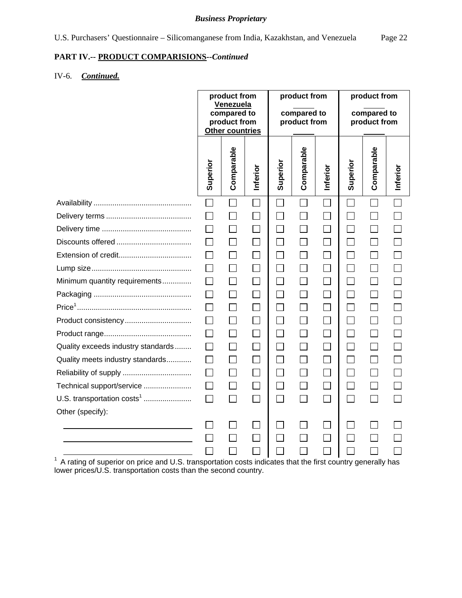# **PART IV.-- PRODUCT COMPARISIONS***--Continued*

# IV-6. *Continued.*

|                                        | product from<br><b>Venezuela</b><br>compared to<br>product from<br>Other countries |                          | product from<br>compared to<br>product from |                             |              | product from<br>compared to<br>product from |          |              |          |
|----------------------------------------|------------------------------------------------------------------------------------|--------------------------|---------------------------------------------|-----------------------------|--------------|---------------------------------------------|----------|--------------|----------|
|                                        | Superior                                                                           | Comparable               | Inferior                                    | Superior                    | Comparable   | Inferior                                    | Superior | Comparable   | Inferior |
|                                        |                                                                                    |                          |                                             |                             | $\Box$       |                                             |          |              |          |
|                                        |                                                                                    |                          |                                             | $\sim$                      |              |                                             |          |              |          |
|                                        |                                                                                    |                          |                                             | $\sim$                      |              |                                             |          |              |          |
|                                        |                                                                                    |                          |                                             | $\sim$                      |              | $\mathcal{L}_{\mathcal{A}}$                 |          |              |          |
|                                        |                                                                                    |                          |                                             | $\mathcal{L}_{\mathcal{A}}$ | $\mathbf{I}$ |                                             |          |              |          |
|                                        | $\mathsf{L}$                                                                       |                          |                                             | $\Box$                      |              | $\Box$                                      |          | $\mathsf{L}$ |          |
| Minimum quantity requirements          |                                                                                    | $\overline{\phantom{a}}$ |                                             | П                           |              | $\mathsf{L}$                                |          | $\mathsf{L}$ |          |
|                                        | $\Box$                                                                             | $\mathbf{I}$             | $\sim$                                      | $\Box$                      | $\Box$       | $\Box$                                      |          | $\Box$       |          |
|                                        |                                                                                    |                          |                                             | $\Box$                      |              |                                             |          |              |          |
| Product consistency                    |                                                                                    |                          |                                             | $\sim$                      | $\mathbf{I}$ | $\mathsf{I}$                                |          |              |          |
|                                        |                                                                                    |                          |                                             | $\Box$                      |              | $\Box$                                      |          | $\mathsf{L}$ |          |
| Quality exceeds industry standards     |                                                                                    | $\mathsf{L}$             |                                             | П                           |              | $\mathsf{I}$                                |          | $\Box$       |          |
| Quality meets industry standards       | $\mathbf{I}$                                                                       | $\Box$                   |                                             | $\Box$                      | $\Box$       | $\Box$                                      |          | $\Box$       |          |
|                                        |                                                                                    |                          |                                             | П                           |              | $\mathbf{I}$                                |          |              |          |
| Technical support/service              |                                                                                    |                          |                                             | $\Box$                      | $\mathbf{I}$ |                                             |          |              |          |
| U.S. transportation costs <sup>1</sup> | П                                                                                  | $\Box$                   | $\mathsf{L}$                                | $\Box$                      | $\Box$       | $\Box$                                      | $\sim$   | $\mathsf{L}$ |          |
| Other (specify):                       |                                                                                    |                          |                                             |                             |              |                                             |          |              |          |
|                                        |                                                                                    |                          |                                             |                             |              |                                             |          |              |          |
|                                        |                                                                                    |                          |                                             |                             |              |                                             |          |              |          |
|                                        |                                                                                    |                          |                                             |                             |              |                                             |          |              |          |

lower prices/U.S. transportation costs than the second country.